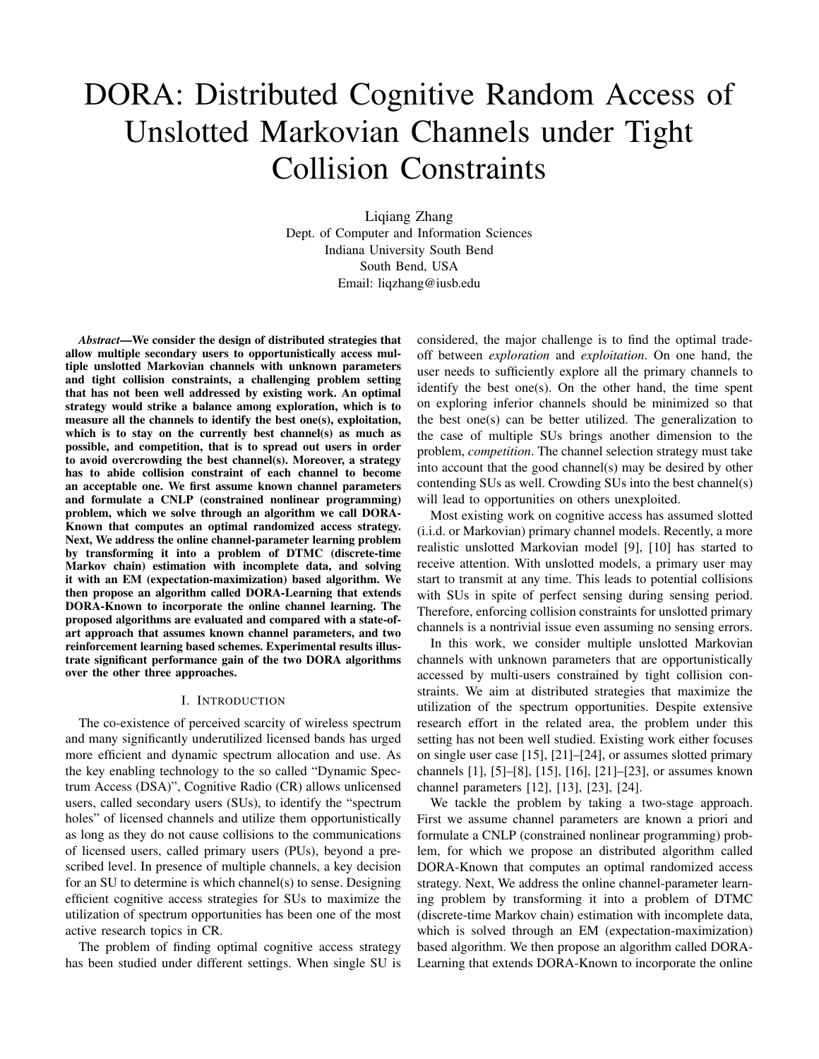# DORA: Distributed Cognitive Random Access of Unslotted Markovian Channels under Tight Collision Constraints

Liqiang Zhang Dept. of Computer and Information Sciences Indiana University South Bend South Bend, USA Email: liqzhang@iusb.edu

*Abstract*—We consider the design of distributed strategies that allow multiple secondary users to opportunistically access multiple unslotted Markovian channels with unknown parameters and tight collision constraints, a challenging problem setting that has not been well addressed by existing work. An optimal strategy would strike a balance among exploration, which is to measure all the channels to identify the best one(s), exploitation, which is to stay on the currently best channel(s) as much as possible, and competition, that is to spread out users in order to avoid overcrowding the best channel(s). Moreover, a strategy has to abide collision constraint of each channel to become an acceptable one. We first assume known channel parameters and formulate a CNLP (constrained nonlinear programming) problem, which we solve through an algorithm we call DORA-Known that computes an optimal randomized access strategy. Next, We address the online channel-parameter learning problem by transforming it into a problem of DTMC (discrete-time Markov chain) estimation with incomplete data, and solving it with an EM (expectation-maximization) based algorithm. We then propose an algorithm called DORA-Learning that extends DORA-Known to incorporate the online channel learning. The proposed algorithms are evaluated and compared with a state-ofart approach that assumes known channel parameters, and two reinforcement learning based schemes. Experimental results illustrate significant performance gain of the two DORA algorithms over the other three approaches.

# I. INTRODUCTION

The co-existence of perceived scarcity of wireless spectrum and many significantly underutilized licensed bands has urged more efficient and dynamic spectrum allocation and use. As the key enabling technology to the so called "Dynamic Spectrum Access (DSA)", Cognitive Radio (CR) allows unlicensed users, called secondary users (SUs), to identify the "spectrum holes" of licensed channels and utilize them opportunistically as long as they do not cause collisions to the communications of licensed users, called primary users (PUs), beyond a prescribed level. In presence of multiple channels, a key decision for an SU to determine is which channel(s) to sense. Designing efficient cognitive access strategies for SUs to maximize the utilization of spectrum opportunities has been one of the most active research topics in CR.

The problem of finding optimal cognitive access strategy has been studied under different settings. When single SU is considered, the major challenge is to find the optimal tradeoff between *exploration* and *exploitation*. On one hand, the user needs to sufficiently explore all the primary channels to identify the best one(s). On the other hand, the time spent on exploring inferior channels should be minimized so that the best one(s) can be better utilized. The generalization to the case of multiple SUs brings another dimension to the problem, *competition*. The channel selection strategy must take into account that the good channel(s) may be desired by other contending SUs as well. Crowding SUs into the best channel(s) will lead to opportunities on others unexploited.

Most existing work on cognitive access has assumed slotted (i.i.d. or Markovian) primary channel models. Recently, a more realistic unslotted Markovian model [9], [10] has started to receive attention. With unslotted models, a primary user may start to transmit at any time. This leads to potential collisions with SUs in spite of perfect sensing during sensing period. Therefore, enforcing collision constraints for unslotted primary channels is a nontrivial issue even assuming no sensing errors.

In this work, we consider multiple unslotted Markovian channels with unknown parameters that are opportunistically accessed by multi-users constrained by tight collision constraints. We aim at distributed strategies that maximize the utilization of the spectrum opportunities. Despite extensive research effort in the related area, the problem under this setting has not been well studied. Existing work either focuses on single user case [15], [21]–[24], or assumes slotted primary channels [1], [5]–[8], [15], [16], [21]–[23], or assumes known channel parameters [12], [13], [23], [24].

We tackle the problem by taking a two-stage approach. First we assume channel parameters are known a priori and formulate a CNLP (constrained nonlinear programming) problem, for which we propose an distributed algorithm called DORA-Known that computes an optimal randomized access strategy. Next, We address the online channel-parameter learning problem by transforming it into a problem of DTMC (discrete-time Markov chain) estimation with incomplete data, which is solved through an EM (expectation-maximization) based algorithm. We then propose an algorithm called DORA-Learning that extends DORA-Known to incorporate the online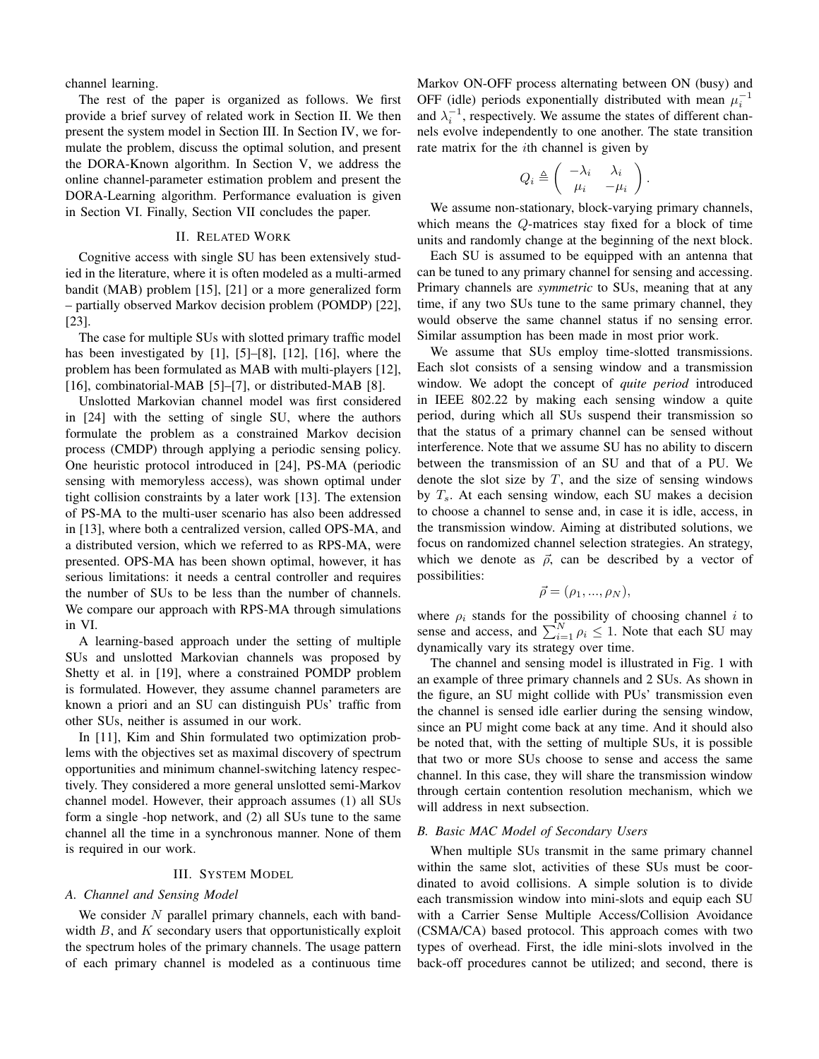channel learning.

The rest of the paper is organized as follows. We first provide a brief survey of related work in Section II. We then present the system model in Section III. In Section IV, we formulate the problem, discuss the optimal solution, and present the DORA-Known algorithm. In Section V, we address the online channel-parameter estimation problem and present the DORA-Learning algorithm. Performance evaluation is given in Section VI. Finally, Section VII concludes the paper.

# II. RELATED WORK

Cognitive access with single SU has been extensively studied in the literature, where it is often modeled as a multi-armed bandit (MAB) problem [15], [21] or a more generalized form – partially observed Markov decision problem (POMDP) [22], [23].

The case for multiple SUs with slotted primary traffic model has been investigated by [1], [5]–[8], [12], [16], where the problem has been formulated as MAB with multi-players [12], [16], combinatorial-MAB [5]–[7], or distributed-MAB [8].

Unslotted Markovian channel model was first considered in [24] with the setting of single SU, where the authors formulate the problem as a constrained Markov decision process (CMDP) through applying a periodic sensing policy. One heuristic protocol introduced in [24], PS-MA (periodic sensing with memoryless access), was shown optimal under tight collision constraints by a later work [13]. The extension of PS-MA to the multi-user scenario has also been addressed in [13], where both a centralized version, called OPS-MA, and a distributed version, which we referred to as RPS-MA, were presented. OPS-MA has been shown optimal, however, it has serious limitations: it needs a central controller and requires the number of SUs to be less than the number of channels. We compare our approach with RPS-MA through simulations in VI.

A learning-based approach under the setting of multiple SUs and unslotted Markovian channels was proposed by Shetty et al. in [19], where a constrained POMDP problem is formulated. However, they assume channel parameters are known a priori and an SU can distinguish PUs' traffic from other SUs, neither is assumed in our work.

In [11], Kim and Shin formulated two optimization problems with the objectives set as maximal discovery of spectrum opportunities and minimum channel-switching latency respectively. They considered a more general unslotted semi-Markov channel model. However, their approach assumes (1) all SUs form a single -hop network, and (2) all SUs tune to the same channel all the time in a synchronous manner. None of them is required in our work.

# III. SYSTEM MODEL

# *A. Channel and Sensing Model*

We consider  $N$  parallel primary channels, each with bandwidth  $B$ , and  $K$  secondary users that opportunistically exploit the spectrum holes of the primary channels. The usage pattern of each primary channel is modeled as a continuous time Markov ON-OFF process alternating between ON (busy) and OFF (idle) periods exponentially distributed with mean  $\mu_i^{-1}$ and  $\lambda_i^{-1}$ , respectively. We assume the states of different channels evolve independently to one another. The state transition rate matrix for the *i*th channel is given by

$$
Q_i \triangleq \left( \begin{array}{cc} -\lambda_i & \lambda_i \\ \mu_i & -\mu_i \end{array} \right).
$$

We assume non-stationary, block-varying primary channels, which means the Q-matrices stay fixed for a block of time units and randomly change at the beginning of the next block.

Each SU is assumed to be equipped with an antenna that can be tuned to any primary channel for sensing and accessing. Primary channels are *symmetric* to SUs, meaning that at any time, if any two SUs tune to the same primary channel, they would observe the same channel status if no sensing error. Similar assumption has been made in most prior work.

We assume that SUs employ time-slotted transmissions. Each slot consists of a sensing window and a transmission window. We adopt the concept of *quite period* introduced in IEEE 802.22 by making each sensing window a quite period, during which all SUs suspend their transmission so that the status of a primary channel can be sensed without interference. Note that we assume SU has no ability to discern between the transmission of an SU and that of a PU. We denote the slot size by  $T$ , and the size of sensing windows by  $T_s$ . At each sensing window, each SU makes a decision to choose a channel to sense and, in case it is idle, access, in the transmission window. Aiming at distributed solutions, we focus on randomized channel selection strategies. An strategy, which we denote as  $\vec{\rho}$ , can be described by a vector of possibilities:

$$
\vec{\rho}=(\rho_1,...,\rho_N),
$$

where  $\rho_i$  stands for the possibility of choosing channel i to sense and access, and  $\sum_{i=1}^{N} \rho_i \leq 1$ . Note that each SU may dynamically vary its strategy over time.

The channel and sensing model is illustrated in Fig. 1 with an example of three primary channels and 2 SUs. As shown in the figure, an SU might collide with PUs' transmission even the channel is sensed idle earlier during the sensing window, since an PU might come back at any time. And it should also be noted that, with the setting of multiple SUs, it is possible that two or more SUs choose to sense and access the same channel. In this case, they will share the transmission window through certain contention resolution mechanism, which we will address in next subsection.

# *B. Basic MAC Model of Secondary Users*

When multiple SUs transmit in the same primary channel within the same slot, activities of these SUs must be coordinated to avoid collisions. A simple solution is to divide each transmission window into mini-slots and equip each SU with a Carrier Sense Multiple Access/Collision Avoidance (CSMA/CA) based protocol. This approach comes with two types of overhead. First, the idle mini-slots involved in the back-off procedures cannot be utilized; and second, there is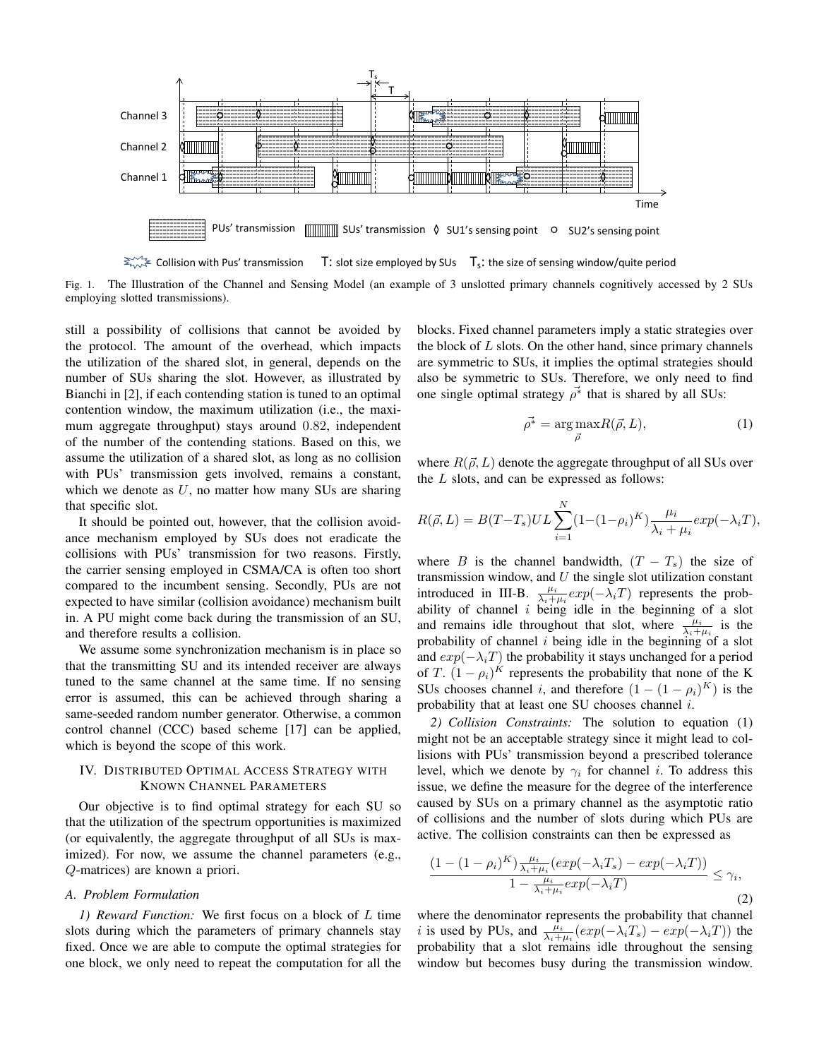

 $\sum_{\gamma\sim\pi}$  Collision with Pus' transmission T: slot size employed by SUs T<sub>s</sub>: the size of sensing window/quite period

Fig. 1. The Illustration of the Channel and Sensing Model (an example of 3 unslotted primary channels cognitively accessed by 2 SUs employing slotted transmissions).

still a possibility of collisions that cannot be avoided by the protocol. The amount of the overhead, which impacts the utilization of the shared slot, in general, depends on the number of SUs sharing the slot. However, as illustrated by Bianchi in [2], if each contending station is tuned to an optimal contention window, the maximum utilization (i.e., the maximum aggregate throughput) stays around 0.82, independent of the number of the contending stations. Based on this, we assume the utilization of a shared slot, as long as no collision with PUs' transmission gets involved, remains a constant, which we denote as  $U$ , no matter how many SUs are sharing that specific slot.

It should be pointed out, however, that the collision avoidance mechanism employed by SUs does not eradicate the collisions with PUs' transmission for two reasons. Firstly, the carrier sensing employed in CSMA/CA is often too short compared to the incumbent sensing. Secondly, PUs are not expected to have similar (collision avoidance) mechanism built in. A PU might come back during the transmission of an SU, and therefore results a collision.

We assume some synchronization mechanism is in place so that the transmitting SU and its intended receiver are always tuned to the same channel at the same time. If no sensing error is assumed, this can be achieved through sharing a same-seeded random number generator. Otherwise, a common control channel (CCC) based scheme [17] can be applied, which is beyond the scope of this work.

# IV. DISTRIBUTED OPTIMAL ACCESS STRATEGY WITH KNOWN CHANNEL PARAMETERS

Our objective is to find optimal strategy for each SU so that the utilization of the spectrum opportunities is maximized (or equivalently, the aggregate throughput of all SUs is maximized). For now, we assume the channel parameters (e.g., Q-matrices) are known a priori.

## *A. Problem Formulation*

*1) Reward Function:* We first focus on a block of L time slots during which the parameters of primary channels stay fixed. Once we are able to compute the optimal strategies for one block, we only need to repeat the computation for all the blocks. Fixed channel parameters imply a static strategies over the block of  $L$  slots. On the other hand, since primary channels are symmetric to SUs, it implies the optimal strategies should also be symmetric to SUs. Therefore, we only need to find one single optimal strategy  $\rho^*$  that is shared by all SUs:

$$
\vec{\rho}^* = \underset{\vec{\rho}}{\arg \max} R(\vec{\rho}, L), \tag{1}
$$

where  $R(\vec{\rho}, L)$  denote the aggregate throughput of all SUs over the L slots, and can be expressed as follows:

$$
R(\vec{\rho}, L) = B(T - T_s)UL \sum_{i=1}^{N} (1 - (1 - \rho_i)^K) \frac{\mu_i}{\lambda_i + \mu_i} exp(-\lambda_i T),
$$

where B is the channel bandwidth,  $(T - T_s)$  the size of transmission window, and  $U$  the single slot utilization constant introduced in III-B.  $\frac{\mu_i}{\lambda_i + \mu_i} exp(-\lambda_i T)$  represents the probability of channel  $i$  being idle in the beginning of a slot and remains idle throughout that slot, where  $\frac{\mu_i}{\lambda_i + \mu_i}$  is the probability of channel  $i$  being idle in the beginning of a slot and  $exp(-\lambda_i T)$  the probability it stays unchanged for a period of T.  $(1 - \rho_i)^K$  represents the probability that none of the K SUs chooses channel i, and therefore  $(1 - (1 - \rho_i)^K)$  is the probability that at least one SU chooses channel i.

*2) Collision Constraints:* The solution to equation (1) might not be an acceptable strategy since it might lead to collisions with PUs' transmission beyond a prescribed tolerance level, which we denote by  $\gamma_i$  for channel i. To address this issue, we define the measure for the degree of the interference caused by SUs on a primary channel as the asymptotic ratio of collisions and the number of slots during which PUs are active. The collision constraints can then be expressed as

$$
\frac{(1 - (1 - \rho_i)^K) \frac{\mu_i}{\lambda_i + \mu_i} (exp(-\lambda_i T_s) - exp(-\lambda_i T))}{1 - \frac{\mu_i}{\lambda_i + \mu_i} exp(-\lambda_i T)} \le \gamma_i,
$$
\n(2)

where the denominator represents the probability that channel *i* is used by PUs, and  $\frac{\mu_i}{\lambda_i + \mu_i} (exp(-\lambda_i T_s) - exp(-\lambda_i T))$  the probability that a slot remains idle throughout the sensing window but becomes busy during the transmission window.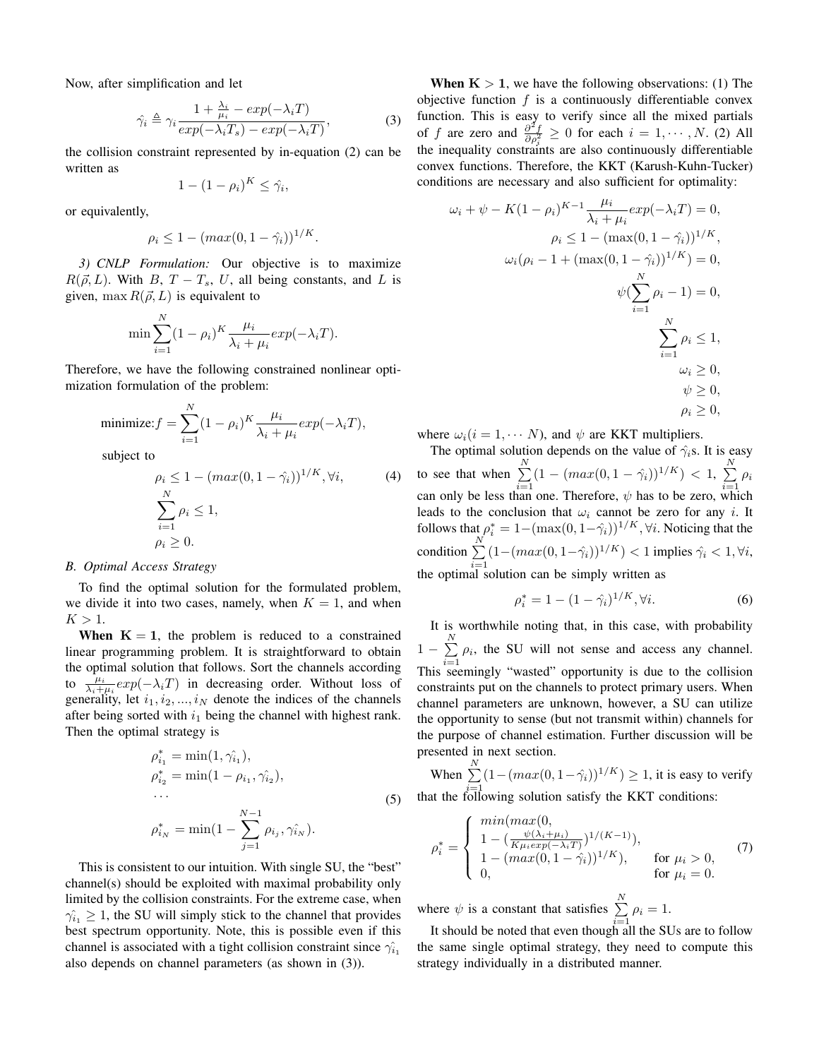Now, after simplification and let

$$
\hat{\gamma}_i \triangleq \gamma_i \frac{1 + \frac{\lambda_i}{\mu_i} - \exp(-\lambda_i T)}{\exp(-\lambda_i T_s) - \exp(-\lambda_i T)},\tag{3}
$$

the collision constraint represented by in-equation (2) can be written as

$$
1 - (1 - \rho_i)^K \leq \hat{\gamma}_i,
$$

or equivalently,

$$
\rho_i \le 1 - (max(0, 1 - \hat{\gamma}_i))^{1/K}.
$$

*3) CNLP Formulation:* Our objective is to maximize  $R(\vec{\rho}, L)$ . With B,  $T - T_s$ , U, all being constants, and L is given, max  $R(\vec{\rho}, L)$  is equivalent to

$$
\min \sum_{i=1}^{N} (1 - \rho_i)^K \frac{\mu_i}{\lambda_i + \mu_i} exp(-\lambda_i T).
$$

Therefore, we have the following constrained nonlinear optimization formulation of the problem:

minimize: 
$$
f = \sum_{i=1}^{N} (1 - \rho_i)^K \frac{\mu_i}{\lambda_i + \mu_i} exp(-\lambda_i T)
$$
,  
subject to

$$
\rho_i \le 1 - (max(0, 1 - \hat{\gamma}_i))^{1/K}, \forall i,
$$
\n
$$
\sum_{i=1}^N \rho_i \le 1,
$$
\n
$$
\rho_i \ge 0.
$$
\n(4)

## *B. Optimal Access Strategy*

To find the optimal solution for the formulated problem, we divide it into two cases, namely, when  $K = 1$ , and when  $K > 1$ .

**When**  $K = 1$ , the problem is reduced to a constrained linear programming problem. It is straightforward to obtain the optimal solution that follows. Sort the channels according to  $\frac{\mu_i}{\lambda_i + \mu_i} exp(-\lambda_i T)$  in decreasing order. Without loss of generality, let  $i_1, i_2, ..., i_N$  denote the indices of the channels after being sorted with  $i_1$  being the channel with highest rank. Then the optimal strategy is

$$
\rho_{i_1}^* = \min(1, \hat{\gamma}_{i_1}),
$$
  
\n
$$
\rho_{i_2}^* = \min(1 - \rho_{i_1}, \hat{\gamma}_{i_2}),
$$
  
\n...  
\n
$$
\rho_{i_N}^* = \min(1 - \sum_{j=1}^{N-1} \rho_{i_j}, \hat{\gamma}_{i_N}).
$$
\n(5)

This is consistent to our intuition. With single SU, the "best" channel(s) should be exploited with maximal probability only limited by the collision constraints. For the extreme case, when  $\gamma_{i_1} \geq 1$ , the SU will simply stick to the channel that provides best spectrum opportunity. Note, this is possible even if this channel is associated with a tight collision constraint since  $\hat{\gamma}_{i_1}$ also depends on channel parameters (as shown in (3)).

**When**  $K > 1$ **, we have the following observations:** (1) The objective function  $f$  is a continuously differentiable convex function. This is easy to verify since all the mixed partials of f are zero and  $\frac{\partial^2 f}{\partial \rho_i^2} \ge 0$  for each  $i = 1, \dots, N$ . (2) All the inequality constraints are also continuously differentiable convex functions. Therefore, the KKT (Karush-Kuhn-Tucker) conditions are necessary and also sufficient for optimality:

$$
\omega_i + \psi - K(1 - \rho_i)^{K-1} \frac{\mu_i}{\lambda_i + \mu_i} exp(-\lambda_i T) = 0,
$$
  
\n
$$
\rho_i \le 1 - (\max(0, 1 - \hat{\gamma}_i))^{1/K},
$$
  
\n
$$
\omega_i(\rho_i - 1 + (\max(0, 1 - \hat{\gamma}_i))^{1/K}) = 0,
$$
  
\n
$$
\psi(\sum_{i=1}^N \rho_i - 1) = 0,
$$
  
\n
$$
\sum_{i=1}^N \rho_i \le 1,
$$
  
\n
$$
\omega_i \ge 0,
$$
  
\n
$$
\rho_i \ge 0,
$$
  
\n
$$
\rho_i \ge 0,
$$

where  $\omega_i(i = 1, \dots N)$ , and  $\psi$  are KKT multipliers.

The optimal solution depends on the value of  $\hat{\gamma}_i$ s. It is easy to see that when  $\sum_{i=1}^{N}$  $\sum_{i=1}^{N} (1 - (max(0, 1 - \hat{\gamma}_i))^{1/K}) < 1, \sum_{i=1}^{N}$  $\sum_{i=1}^{\infty} \rho_i$ can only be less than one. Therefore,  $\psi$  has to be zero, which leads to the conclusion that  $\omega_i$  cannot be zero for any i. It follows that  $\rho_i^* = 1 - (\max(0, 1 - \hat{\gamma}_i))^{1/K}, \forall i$ . Noticing that the condition  $\sum_{i=1}^{N}$  $\sum_{i=1} (1 - (max(0, 1 - \hat{\gamma}_i))^{1/K}) < 1$  implies  $\hat{\gamma}_i < 1, \forall i$ , the optimal solution can be simply written as

$$
\rho_i^* = 1 - (1 - \hat{\gamma}_i)^{1/K}, \forall i.
$$
 (6)

It is worthwhile noting that, in this case, with probability  $1-\sum_{i=1}^{N}$  $\sum_{i=1}^{\infty} \rho_i$ , the SU will not sense and access any channel. This seemingly "wasted" opportunity is due to the collision constraints put on the channels to protect primary users. When channel parameters are unknown, however, a SU can utilize the opportunity to sense (but not transmit within) channels for the purpose of channel estimation. Further discussion will be presented in next section.

When  $\sum_{i=1}^{N}$  $\sum_{i=1} (1 - (max(0, 1 - \hat{\gamma}_i))^{1/K}) \ge 1$ , it is easy to verify that the following solution satisfy the KKT conditions:

$$
\rho_i^* = \begin{cases}\n\min(\max(0, \\
1 - (\frac{\psi(\lambda_i + \mu_i)}{K \mu_i exp(-\lambda_i T)})^{1/(K-1)}), \\
1 - (\max(0, 1 - \hat{\gamma}_i))^{1/K}), & \text{for } \mu_i > 0, \\
0, & \text{for } \mu_i = 0.\n\end{cases}
$$
\n(7)

where  $\psi$  is a constant that satisfies  $\sum_{n=1}^{N}$  $\sum_{i=1}^{\infty} \rho_i = 1.$ 

It should be noted that even though all the SUs are to follow the same single optimal strategy, they need to compute this strategy individually in a distributed manner.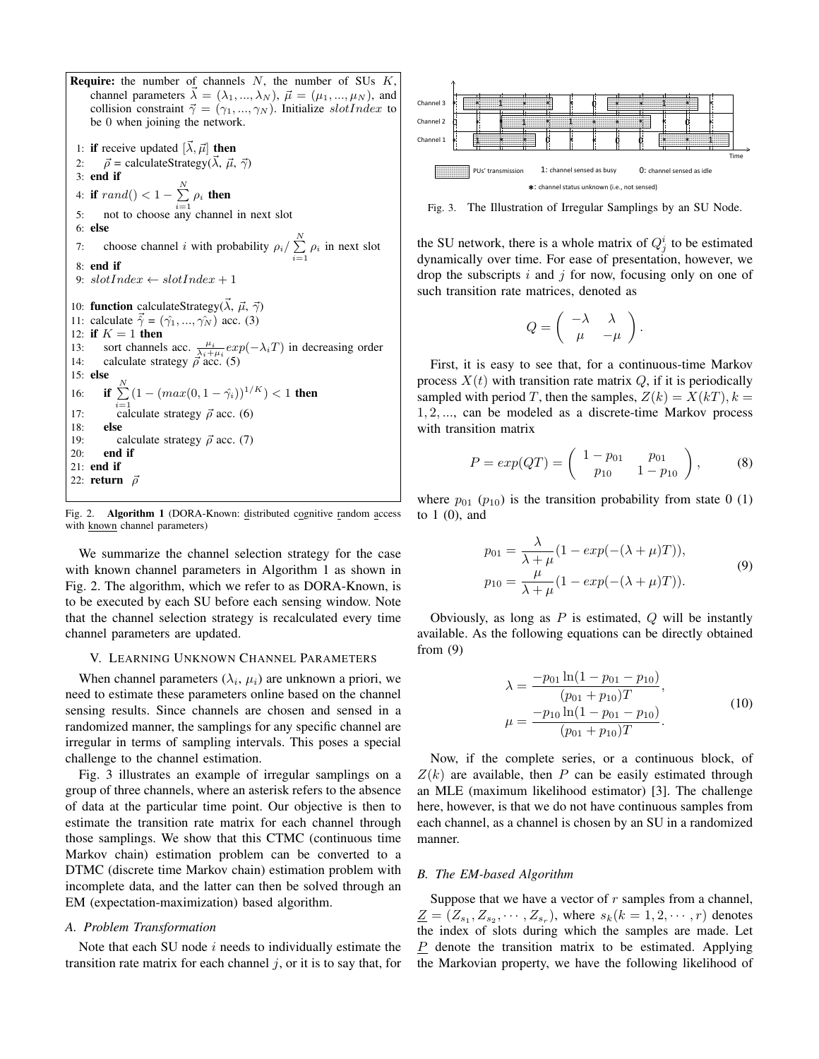**Require:** the number of channels  $N$ , the number of SUs  $K$ , channel parameters  $\vec{\lambda} = (\lambda_1, ..., \lambda_N), \ \vec{\mu} = (\mu_1, ..., \mu_N)$ , and collision constraint  $\vec{\gamma} = (\gamma_1, ..., \gamma_N)$ . Initialize slotIndex to be 0 when joining the network. 1: if receive updated  $[\vec{\lambda}, \vec{\mu}]$  then 2:  $\vec{\rho}$  = calculateStrategy( $\vec{\lambda}$ ,  $\vec{\mu}$ ,  $\vec{\gamma}$ ) 3: end if 4: **if**  $rand() < 1 - \sum_{i=1}^{N} \rho_i$  **then** 5: not to choose any channel in next slot 6: else 7: choose channel *i* with probability  $\rho_i / \sum_{i=1}^{N} \rho_i$  in next slot 8: end if 9:  $slotIndex \leftarrow slotIndex + 1$ 10: **function** calculateStrategy( $(\lambda, \vec{\mu}, \vec{\gamma})$ 11: calculate  $\hat{\gamma} = (\hat{\gamma_1}, ..., \hat{\gamma_N})$  acc. (3) 12: if  $K = 1$  then 13: sort channels acc.  $\frac{\mu_i}{\lambda_i + \mu_i} exp(-\lambda_i T)$  in decreasing order 14: calculate strategy  $\vec{\rho}$  acc. (5) 15: else 16: **if**  $\sum_{i=1}^{N} (1 - (max(0, 1 - \hat{\gamma}_i))^{1/K}) < 1$  then 17: calculate strategy  $\vec{\rho}$  acc. (6) 18: else 19: calculate strategy  $\vec{\rho}$  acc. (7)  $20<sub>1</sub>$  end if  $21:$  end if 22: **return**  $\vec{\rho}$ 

Fig. 2. Algorithm 1 (DORA-Known: distributed cognitive random access with known channel parameters)

We summarize the channel selection strategy for the case with known channel parameters in Algorithm 1 as shown in Fig. 2. The algorithm, which we refer to as DORA-Known, is to be executed by each SU before each sensing window. Note that the channel selection strategy is recalculated every time channel parameters are updated.

#### V. LEARNING UNKNOWN CHANNEL PARAMETERS

When channel parameters  $(\lambda_i, \mu_i)$  are unknown a priori, we need to estimate these parameters online based on the channel sensing results. Since channels are chosen and sensed in a randomized manner, the samplings for any specific channel are irregular in terms of sampling intervals. This poses a special challenge to the channel estimation.

Fig. 3 illustrates an example of irregular samplings on a group of three channels, where an asterisk refers to the absence of data at the particular time point. Our objective is then to estimate the transition rate matrix for each channel through those samplings. We show that this CTMC (continuous time Markov chain) estimation problem can be converted to a DTMC (discrete time Markov chain) estimation problem with incomplete data, and the latter can then be solved through an EM (expectation-maximization) based algorithm.

#### *A. Problem Transformation*

Note that each SU node  $i$  needs to individually estimate the transition rate matrix for each channel  $j$ , or it is to say that, for



Fig. 3. The Illustration of Irregular Samplings by an SU Node.

the SU network, there is a whole matrix of  $Q_j^i$  to be estimated dynamically over time. For ease of presentation, however, we drop the subscripts i and j for now, focusing only on one of such transition rate matrices, denoted as

$$
Q = \left(\begin{array}{cc} -\lambda & \lambda \\ \mu & -\mu \end{array}\right)
$$

First, it is easy to see that, for a continuous-time Markov process  $X(t)$  with transition rate matrix Q, if it is periodically sampled with period T, then the samples,  $Z(k) = X(kT)$ ,  $k =$ 1, 2, ..., can be modeled as a discrete-time Markov process with transition matrix

$$
P = exp(QT) = \begin{pmatrix} 1 - p_{01} & p_{01} \\ p_{10} & 1 - p_{10} \end{pmatrix},
$$
 (8)

.

where  $p_{01}$  ( $p_{10}$ ) is the transition probability from state 0 (1) to 1 (0), and

$$
p_{01} = \frac{\lambda}{\lambda + \mu} (1 - exp(-(\lambda + \mu)T)),
$$
  
\n
$$
p_{10} = \frac{\mu}{\lambda + \mu} (1 - exp(-(\lambda + \mu)T)).
$$
\n(9)

Obviously, as long as  $P$  is estimated,  $Q$  will be instantly available. As the following equations can be directly obtained from (9)

$$
\lambda = \frac{-p_{01} \ln(1 - p_{01} - p_{10})}{(p_{01} + p_{10})T},
$$
  
\n
$$
\mu = \frac{-p_{10} \ln(1 - p_{01} - p_{10})}{(p_{01} + p_{10})T}.
$$
\n(10)

Now, if the complete series, or a continuous block, of  $Z(k)$  are available, then P can be easily estimated through an MLE (maximum likelihood estimator) [3]. The challenge here, however, is that we do not have continuous samples from each channel, as a channel is chosen by an SU in a randomized manner.

#### *B. The EM-based Algorithm*

Suppose that we have a vector of  $r$  samples from a channel,  $\underline{Z} = (Z_{s_1}, Z_{s_2}, \cdots, Z_{s_r}),$  where  $s_k (k = 1, 2, \cdots, r)$  denotes the index of slots during which the samples are made. Let  $P$  denote the transition matrix to be estimated. Applying the Markovian property, we have the following likelihood of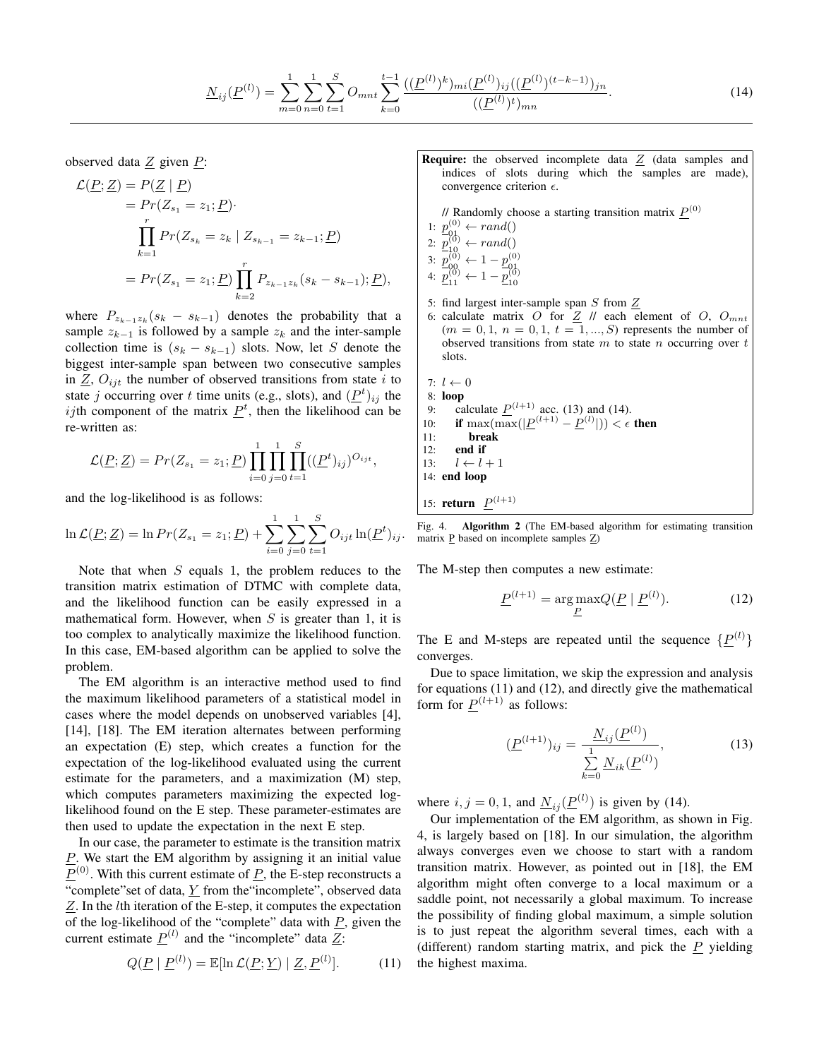$$
\underline{N}_{ij}(\underline{P}^{(l)}) = \sum_{m=0}^{1} \sum_{n=0}^{1} \sum_{t=1}^{S} O_{mnt} \sum_{k=0}^{t-1} \frac{((\underline{P}^{(l)})^k)_{mi} (\underline{P}^{(l)})_{ij} ((\underline{P}^{(l)})^{(t-k-1)})_{jn}}{((\underline{P}^{(l)})^t)_{mn}}.
$$
\n(14)

observed data  $Z$  given  $P$ :

$$
\mathcal{L}(\underline{P}; \underline{Z}) = P(\underline{Z} | \underline{P})
$$
  
=  $Pr(Z_{s_1} = z_1; \underline{P})$ .  

$$
\prod_{k=1}^{r} Pr(Z_{s_k} = z_k | Z_{s_{k-1}} = z_{k-1}; \underline{P})
$$
  
=  $Pr(Z_{s_1} = z_1; \underline{P}) \prod_{k=2}^{r} P_{z_{k-1}z_k} (s_k - s_{k-1}); \underline{P}),$ 

where  $P_{z_{k-1}z_k}(s_k - s_{k-1})$  denotes the probability that a sample  $z_{k-1}$  is followed by a sample  $z_k$  and the inter-sample collection time is  $(s_k - s_{k-1})$  slots. Now, let S denote the biggest inter-sample span between two consecutive samples in  $Z$ ,  $O_{ijt}$  the number of observed transitions from state i to state j occurring over t time units (e.g., slots), and  $(\underline{P}^t)_{ij}$  the ijth component of the matrix  $\underline{P}^t$ , then the likelihood can be re-written as:

$$
\mathcal{L}(\underline{P}; \underline{Z}) = Pr(Z_{s_1} = z_1; \underline{P}) \prod_{i=0}^{1} \prod_{j=0}^{1} \prod_{t=1}^{S} ((\underline{P}^t)_{ij})^{O_{ijt}},
$$

and the log-likelihood is as follows:

$$
\ln \mathcal{L}(\underline{P}; \underline{Z}) = \ln Pr(Z_{s_1} = z_1; \underline{P}) + \sum_{i=0}^{1} \sum_{j=0}^{1} \sum_{t=1}^{S} O_{ijt} \ln(\underline{P}^t)_{ij}.
$$

Note that when  $S$  equals 1, the problem reduces to the transition matrix estimation of DTMC with complete data, and the likelihood function can be easily expressed in a mathematical form. However, when  $S$  is greater than 1, it is too complex to analytically maximize the likelihood function. In this case, EM-based algorithm can be applied to solve the problem.

The EM algorithm is an interactive method used to find the maximum likelihood parameters of a statistical model in cases where the model depends on unobserved variables [4], [14], [18]. The EM iteration alternates between performing an expectation (E) step, which creates a function for the expectation of the log-likelihood evaluated using the current estimate for the parameters, and a maximization (M) step, which computes parameters maximizing the expected loglikelihood found on the E step. These parameter-estimates are then used to update the expectation in the next E step.

In our case, the parameter to estimate is the transition matrix  $P$ . We start the EM algorithm by assigning it an initial value  $\underline{P}^{(0)}$ . With this current estimate of  $\underline{P}$ , the E-step reconstructs a "complete"set of data,  $Y$  from the "incomplete", observed data Z. In the lth iteration of the E-step, it computes the expectation of the log-likelihood of the "complete" data with  $\overline{P}$ , given the current estimate  $\underline{P}^{(l)}$  and the "incomplete" data  $\underline{Z}$ :

$$
Q(\underline{P} \mid \underline{P}^{(l)}) = \mathbb{E}[\ln \mathcal{L}(\underline{P}; \underline{Y}) \mid \underline{Z}, \underline{P}^{(l)}]. \tag{11}
$$

**Require:** the observed incomplete data  $Z$  (data samples and indices of slots during which the samples are made), convergence criterion  $\epsilon$ .

// Randomly choose a starting transition matrix  $P^{(0)}$ 1:  $\underline{p}_{01}^{(0)} \leftarrow rand()$ 2:  $\underline{p}_{10}^{(0)} \leftarrow rand()$ 3:  $p_{00}^{(0)} \leftarrow 1 - p_{01}^{(0)}$ <br>4:  $p_{11}^{(0)} \leftarrow 1 - p_{10}^{(0)}$ 5: find largest inter-sample span  $S$  from  $Z$ 6: calculate matrix O for  $Z$  // each element of O,  $O_{mnt}$ 

 $(m = 0, 1, n = 0, 1, t = 1, ..., S)$  represents the number of observed transitions from state  $m$  to state  $n$  occurring over  $t$ slots.

\n- 7: 
$$
l \leftarrow 0
$$
\n- 8: **loop**
\n- 9: calculate  $\underline{P}^{(l+1)}$  acc. (13) and (14).
\n- 10: if  $\max(\max(|\underline{P}^{(l+1)} - \underline{P}^{(l)}|)) < \epsilon$  then 11: **break**
\n- 12: **end if**
\n- 13:  $l \leftarrow l + 1$
\n- 14: **end loop**
\n- 15: **return**  $\underline{P}^{(l+1)}$
\n

Fig. 4. Algorithm 2 (The EM-based algorithm for estimating transition matrix  $\underline{P}$  based on incomplete samples  $\underline{Z}$ )

The M-step then computes a new estimate:

$$
\underline{P}^{(l+1)} = \underset{\underline{P}}{\arg \max} Q(\underline{P} | \underline{P}^{(l)}).
$$
 (12)

The E and M-steps are repeated until the sequence  $\{\underline{P}^{(l)}\}$ converges.

Due to space limitation, we skip the expression and analysis for equations (11) and (12), and directly give the mathematical form for  $\underline{P}^{(l+1)}$  as follows:

$$
(\underline{P}^{(l+1)})_{ij} = \frac{\underline{N}_{ij}(\underline{P}^{(l)})}{\sum_{k=0}^{1} \underline{N}_{ik}(\underline{P}^{(l)})},
$$
(13)

where  $i, j = 0, 1$ , and  $\underline{N}_{ij}(\underline{P}^{(l)})$  is given by (14).

Our implementation of the EM algorithm, as shown in Fig. 4, is largely based on [18]. In our simulation, the algorithm always converges even we choose to start with a random transition matrix. However, as pointed out in [18], the EM algorithm might often converge to a local maximum or a saddle point, not necessarily a global maximum. To increase the possibility of finding global maximum, a simple solution is to just repeat the algorithm several times, each with a (different) random starting matrix, and pick the  $P$  yielding the highest maxima.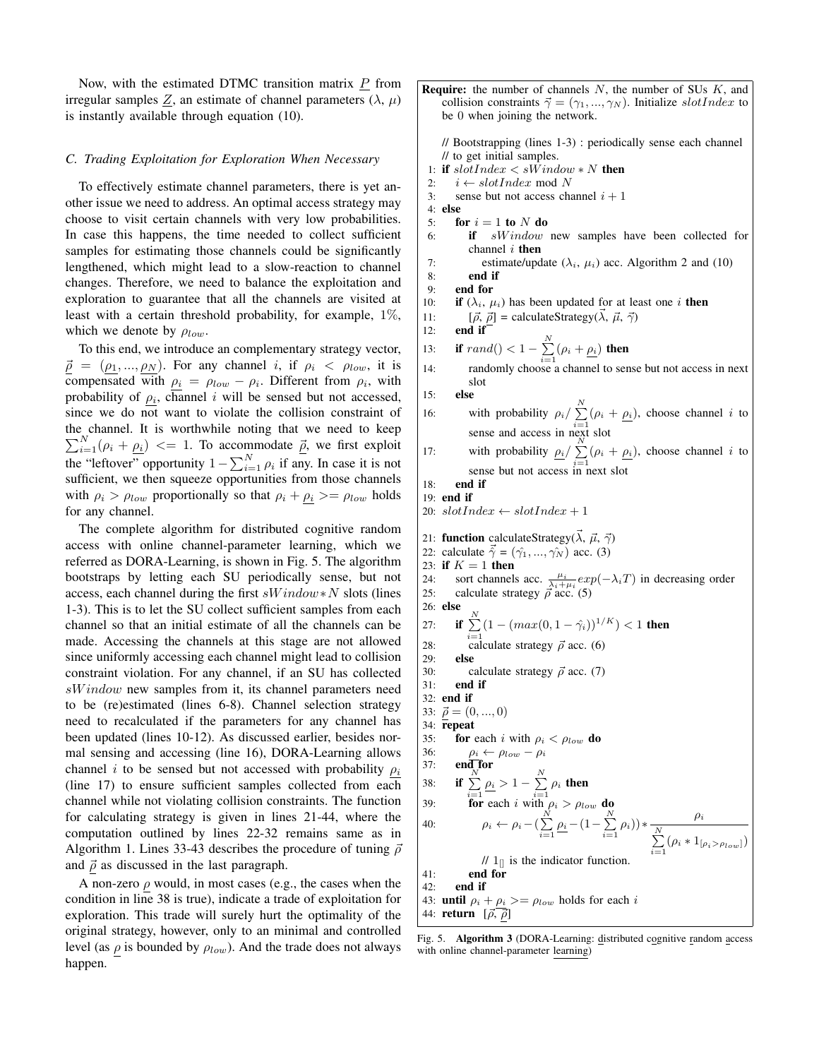Now, with the estimated DTMC transition matrix  $P$  from irregular samples  $Z$ , an estimate of channel parameters  $(\lambda, \mu)$ is instantly available through equation (10).

# *C. Trading Exploitation for Exploration When Necessary*

To effectively estimate channel parameters, there is yet another issue we need to address. An optimal access strategy may choose to visit certain channels with very low probabilities. In case this happens, the time needed to collect sufficient samples for estimating those channels could be significantly lengthened, which might lead to a slow-reaction to channel changes. Therefore, we need to balance the exploitation and exploration to guarantee that all the channels are visited at least with a certain threshold probability, for example, 1%, which we denote by  $\rho_{low}$ .

To this end, we introduce an complementary strategy vector,  $\vec{\rho} = (\rho_1, ..., \rho_N)$ . For any channel i, if  $\rho_i < \rho_{low}$ , it is compensated with  $\rho_i = \rho_{low} - \rho_i$ . Different from  $\rho_i$ , with probability of  $\rho_i$ , channel i will be sensed but not accessed, since we do not want to violate the collision constraint of the channel. It is worthwhile noting that we need to keep  $\sum_{i=1}^{N} (\rho_i + \rho_i) \leq 1$ . To accommodate  $\vec{\rho}$ , we first exploit the "leftover" opportunity  $1 - \sum_{i=1}^{N} \rho_i$  if any. In case it is not sufficient, we then squeeze opportunities from those channels with  $\rho_i > \rho_{low}$  proportionally so that  $\rho_i + \rho_i > = \rho_{low}$  holds for any channel.

The complete algorithm for distributed cognitive random access with online channel-parameter learning, which we referred as DORA-Learning, is shown in Fig. 5. The algorithm bootstraps by letting each SU periodically sense, but not access, each channel during the first  $sWindow*N$  slots (lines 1-3). This is to let the SU collect sufficient samples from each channel so that an initial estimate of all the channels can be made. Accessing the channels at this stage are not allowed since uniformly accessing each channel might lead to collision constraint violation. For any channel, if an SU has collected sWindow new samples from it, its channel parameters need to be (re)estimated (lines 6-8). Channel selection strategy need to recalculated if the parameters for any channel has been updated (lines 10-12). As discussed earlier, besides normal sensing and accessing (line 16), DORA-Learning allows channel *i* to be sensed but not accessed with probability  $\rho_i$ (line 17) to ensure sufficient samples collected from each channel while not violating collision constraints. The function for calculating strategy is given in lines 21-44, where the computation outlined by lines 22-32 remains same as in Algorithm 1. Lines 33-43 describes the procedure of tuning  $\vec{\rho}$ and  $\vec{\rho}$  as discussed in the last paragraph.

A non-zero  $\rho$  would, in most cases (e.g., the cases when the condition in line 38 is true), indicate a trade of exploitation for exploration. This trade will surely hurt the optimality of the original strategy, however, only to an minimal and controlled level (as  $\rho$  is bounded by  $\rho_{low}$ ). And the trade does not always happen.

**Require:** the number of channels  $N$ , the number of SUs  $K$ , and collision constraints  $\vec{\gamma} = (\gamma_1, ..., \gamma_N)$ . Initialize slotIndex to be 0 when joining the network.

// Bootstrapping (lines 1-3) : periodically sense each channel // to get initial samples.

- 1: if  $slotIndex < sWindow * N$  then
- 2:  $i \leftarrow slotIndex \mod N$
- 3: sense but not access channel  $i + 1$
- 4: else 5: for  $i = 1$  to N do 6: if sW indow new samples have been collected for
- channel  $i$  then 7: estimate/update  $(\lambda_i, \mu_i)$  acc. Algorithm 2 and (10)

```
8 \cdot end if
```

```
9: end for
```
10: **if**  $(\lambda_i, \mu_i)$  has been updated for at least one *i* then

```
11: [\vec{\rho}, \vec{\rho}] = \text{calculateStrategy}(\vec{\lambda}, \vec{\mu}, \vec{\gamma})
```

```
12: end if
```
- 13: **if**  $rand() < 1 \sum_{i=1}^{N} (\rho_i + \underline{\rho_i})$  **then**
- 14: randomly choose a channel to sense but not access in next slot

15: else

- 16: with probability  $\rho_i / \sum_{i=1}^{N} (\rho_i + \rho_i)$ , choose channel *i* to sense and access in next slot
- 17: with probability  $\rho_i / \sum_{i=1}^N (\rho_i + \rho_i)$ , choose channel *i* to sense but not access in next slot
- 18: end if
- 19: end if
- 20:  $slotIndex \leftarrow slotIndex + 1$
- 21: **function** calculateStrategy( $\vec{\lambda}$ ,  $\vec{\mu}$ ,  $\vec{\gamma}$ )
- 22: calculate  $\vec{\hat{\gamma}} = (\hat{\gamma}_1, ..., \hat{\gamma}_N)$  acc. (3)
- 23: if  $K = 1$  then 24: sort channels acc.  $\frac{\mu_i}{\lambda_i + \mu_i} exp(-\lambda_i T)$  in decreasing order 25: calculate strategy  $\vec{\rho}$  acc. (5) 26: else

27: **if** 
$$
\sum_{i=1}^{N} (1 - (max(0, 1 - \hat{\gamma}_i))^{1/K}) < 1
$$
 **then** 28: calculate strategy  $\vec{\rho}$  acc. (6)

$$
9: \qquad \text{else}
$$

- $29:30:$ calculate strategy  $\vec{\rho}$  acc. (7)
- 31: end if
- 32: end if 33:  $\vec{\rho} = (0, ..., 0)$
- 34:  $\overline{\text{repeat}}$
- 35: **for** each i with  $\rho_i < \rho_{low}$  do

36: 
$$
\rho_i \leftarrow \rho_{low} - \rho_i
$$
  
37: **end for**

38: **if** 
$$
\sum_{i=1}^{N} \rho_i > 1 - \sum_{i=1}^{N} \rho_i
$$
 then  
\n39: **if**  $\sum_{i=1}^{N} \rho_i > 1 - \sum_{i=1}^{N} \rho_i$  then  
\n40:  $\rho_i \leftarrow \rho_i - (\sum_{i=1}^{N} \rho_i - (1 - \sum_{i=1}^{N} \rho_i)) * \frac{\rho_i}{N}$ 

 $\sum_{i=1}^{N} (\rho_i * 1_{[\rho_i > \rho_{low}]} )$ //  $1_{\parallel}$  is the indicator function. 41: end for 42: end if

43: **until**  $\rho_i + \rho_i \geq \rho_{low}$  holds for each i 44: **return**  $[\vec{\rho}, \vec{\rho}]$ 

Fig. 5. Algorithm 3 (DORA-Learning: distributed cognitive random access with online channel-parameter learning)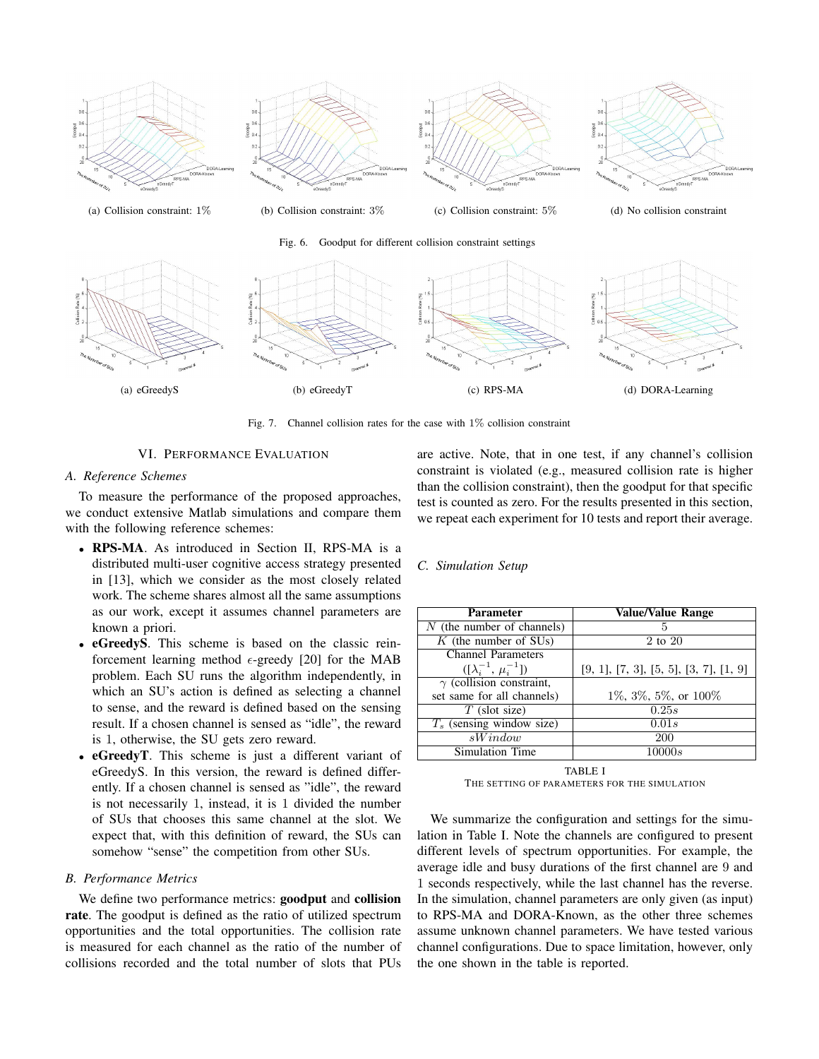

Fig. 7. Channel collision rates for the case with  $1\%$  collision constraint

# VI. PERFORMANCE EVALUATION

## *A. Reference Schemes*

To measure the performance of the proposed approaches, we conduct extensive Matlab simulations and compare them with the following reference schemes:

- RPS-MA. As introduced in Section II, RPS-MA is a distributed multi-user cognitive access strategy presented in [13], which we consider as the most closely related work. The scheme shares almost all the same assumptions as our work, except it assumes channel parameters are known a priori.
- eGreedyS. This scheme is based on the classic reinforcement learning method  $\epsilon$ -greedy [20] for the MAB problem. Each SU runs the algorithm independently, in which an SU's action is defined as selecting a channel to sense, and the reward is defined based on the sensing result. If a chosen channel is sensed as "idle", the reward is 1, otherwise, the SU gets zero reward.
- eGreedyT. This scheme is just a different variant of eGreedyS. In this version, the reward is defined differently. If a chosen channel is sensed as "idle", the reward is not necessarily 1, instead, it is 1 divided the number of SUs that chooses this same channel at the slot. We expect that, with this definition of reward, the SUs can somehow "sense" the competition from other SUs.

# *B. Performance Metrics*

We define two performance metrics: **goodput** and **collision** rate. The goodput is defined as the ratio of utilized spectrum opportunities and the total opportunities. The collision rate is measured for each channel as the ratio of the number of collisions recorded and the total number of slots that PUs are active. Note, that in one test, if any channel's collision constraint is violated (e.g., measured collision rate is higher than the collision constraint), then the goodput for that specific test is counted as zero. For the results presented in this section, we repeat each experiment for 10 tests and report their average.

# *C. Simulation Setup*

| <b>Parameter</b>                 | <b>Value/Value Range</b>                             |
|----------------------------------|------------------------------------------------------|
| $N$ (the number of channels)     | 5                                                    |
| $K$ (the number of SUs)          | 2 to 20                                              |
| <b>Channel Parameters</b>        |                                                      |
| $([\lambda_i^{-1}, \mu_i^{-1}])$ | $[9, 1]$ , $[7, 3]$ , $[5, 5]$ , $[3, 7]$ , $[1, 9]$ |
| $\gamma$ (collision constraint,  |                                                      |
| set same for all channels)       | 1\%, 3\%, 5\%, or $100\%$                            |
| $T$ (slot size)                  | 0.25s                                                |
| $T_s$ (sensing window size)      | 0.01s                                                |
| sWindow                          | 200                                                  |
| Simulation Time                  | 10000s                                               |
|                                  |                                                      |

TABLE I THE SETTING OF PARAMETERS FOR THE SIMULATION

We summarize the configuration and settings for the simulation in Table I. Note the channels are configured to present different levels of spectrum opportunities. For example, the average idle and busy durations of the first channel are 9 and 1 seconds respectively, while the last channel has the reverse. In the simulation, channel parameters are only given (as input) to RPS-MA and DORA-Known, as the other three schemes assume unknown channel parameters. We have tested various channel configurations. Due to space limitation, however, only the one shown in the table is reported.